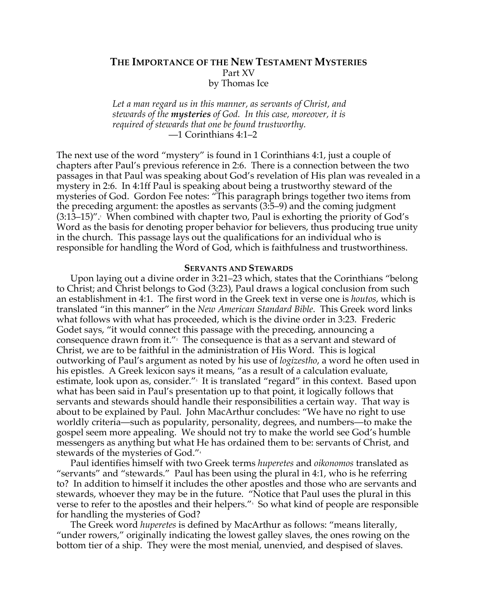# **THE IMPORTANCE OF THE NEW TESTAMENT MYSTERIES** Part XV by Thomas Ice

*Let a man regard us in this manner, as servants of Christ, and stewards of the mysteries of God. In this case, moreover, it is required of stewards that one be found trustworthy.* —1 Corinthians 4:1–2

The next use of the word "mystery" is found in 1 Corinthians 4:1, just a couple of chapters after Paul's previous reference in 2:6. There is a connection between the two passages in that Paul was speaking about God's revelation of His plan was revealed in a mystery in 2:6. In 4:1ff Paul is speaking about being a trustworthy steward of the mysteries of God. Gordon Fee notes: "This paragraph brings together two items from the preceding argument: the apostles as servants (3:5–9) and the coming judgment  $(3:13–15)$ ". When combined with chapter two, Paul is exhorting the priority of God's Word as the basis for denoting proper behavior for believers, thus producing true unity in the church. This passage lays out the qualifications for an individual who is responsible for handling the Word of God, which is faithfulness and trustworthiness.

### **SERVANTS AND STEWARDS**

Upon laying out a divine order in 3:21–23 which, states that the Corinthians "belong to Christ; and Christ belongs to God (3:23), Paul draws a logical conclusion from such an establishment in 4:1. The first word in the Greek text in verse one is *houtos*, which is translated "in this manner" in the *New American Standard Bible*. This Greek word links what follows with what has proceeded, which is the divine order in 3:23. Frederic Godet says, "it would connect this passage with the preceding, announcing a consequence drawn from it." $^{\prime}$  The consequence is that as a servant and steward of Christ, we are to be faithful in the administration of His Word. This is logical outworking of Paul's argument as noted by his use of *logizestho*, a word he often used in his epistles. A Greek lexicon says it means, "as a result of a calculation evaluate, estimate, look upon as, consider."<sup>,</sup> It is translated "regard" in this context. Based upon what has been said in Paul's presentation up to that point, it logically follows that servants and stewards should handle their responsibilities a certain way. That way is about to be explained by Paul. John MacArthur concludes: "We have no right to use worldly criteria—such as popularity, personality, degrees, and numbers—to make the gospel seem more appealing. We should not try to make the world see God's humble messengers as anything but what He has ordained them to be: servants of Christ, and stewards of the mysteries of God."<sup>4</sup>

Paul identifies himself with two Greek terms *huperetes* and *oikonomos* translated as "servants" and "stewards." Paul has been using the plural in 4:1, who is he referring to? In addition to himself it includes the other apostles and those who are servants and stewards, whoever they may be in the future. "Notice that Paul uses the plural in this verse to refer to the apostles and their helpers."<sup>5</sup> So what kind of people are responsible for handling the mysteries of God?

The Greek word *huperetes* is defined by MacArthur as follows: "means literally, "under rowers," originally indicating the lowest galley slaves, the ones rowing on the bottom tier of a ship. They were the most menial, unenvied, and despised of slaves.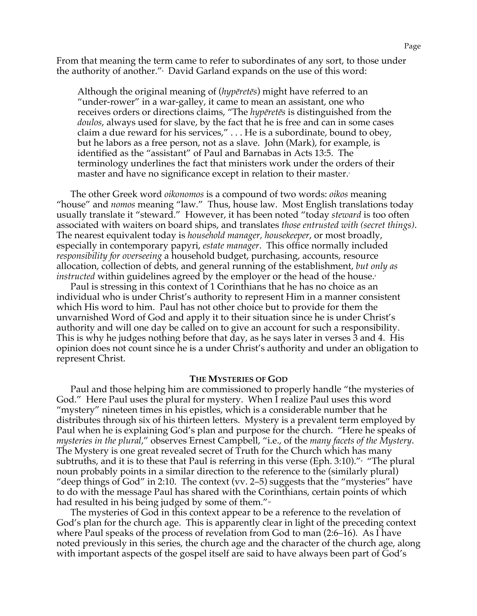From that meaning the term came to refer to subordinates of any sort, to those under the authority of another." $^{\circ}$  David Garland expands on the use of this word:

Although the original meaning of (*hypēretēs*) might have referred to an "under-rower" in a war-galley, it came to mean an assistant, one who receives orders or directions claims, "The *hypēretēs* is distinguished from the *doulos*, always used for slave, by the fact that he is free and can in some cases claim a due reward for his services," . . . He is a subordinate, bound to obey, but he labors as a free person, not as a slave. John (Mark), for example, is identified as the "assistant" of Paul and Barnabas in Acts 13:5. The terminology underlines the fact that ministers work under the orders of their master and have no significance except in relation to their master.<sup>7</sup>

The other Greek word *oikonomos* is a compound of two words: *oikos* meaning "house" and *nomos* meaning "law." Thus, house law. Most English translations today usually translate it "steward." However, it has been noted "today *steward* is too often associated with waiters on board ships, and translates *those entrusted with (secret things)*. The nearest equivalent today is *household manager, housekeeper*, or most broadly, especially in contemporary papyri, *estate manager*. This office normally included *responsibility for overseeing* a household budget, purchasing, accounts, resource allocation, collection of debts, and general running of the establishment, *but only as instructed* within guidelines agreed by the employer or the head of the house.<sup>8</sup>

Paul is stressing in this context of 1 Corinthians that he has no choice as an individual who is under Christ's authority to represent Him in a manner consistent which His word to him. Paul has not other choice but to provide for them the unvarnished Word of God and apply it to their situation since he is under Christ's authority and will one day be called on to give an account for such a responsibility. This is why he judges nothing before that day, as he says later in verses 3 and 4. His opinion does not count since he is a under Christ's authority and under an obligation to represent Christ.

#### **THE MYSTERIES OF GOD**

Paul and those helping him are commissioned to properly handle "the mysteries of God." Here Paul uses the plural for mystery. When I realize Paul uses this word "mystery" nineteen times in his epistles, which is a considerable number that he distributes through six of his thirteen letters. Mystery is a prevalent term employed by Paul when he is explaining God's plan and purpose for the church. "Here he speaks of *mysteries in the plural*," observes Ernest Campbell, "i.e., of the *many facets of the Mystery*. The Mystery is one great revealed secret of Truth for the Church which has many subtruths, and it is to these that Paul is referring in this verse (Eph. 3:10)." $^{\circ}$  "The plural noun probably points in a similar direction to the reference to the (similarly plural) "deep things of God" in 2:10. The context (vv. 2–5) suggests that the "mysteries" have to do with the message Paul has shared with the Corinthians, certain points of which had resulted in his being judged by some of them." $\frac{1}{10}$ 

The mysteries of God in this context appear to be a reference to the revelation of God's plan for the church age. This is apparently clear in light of the preceding context where Paul speaks of the process of revelation from God to man (2:6–16). As I have noted previously in this series, the church age and the character of the church age, along with important aspects of the gospel itself are said to have always been part of God's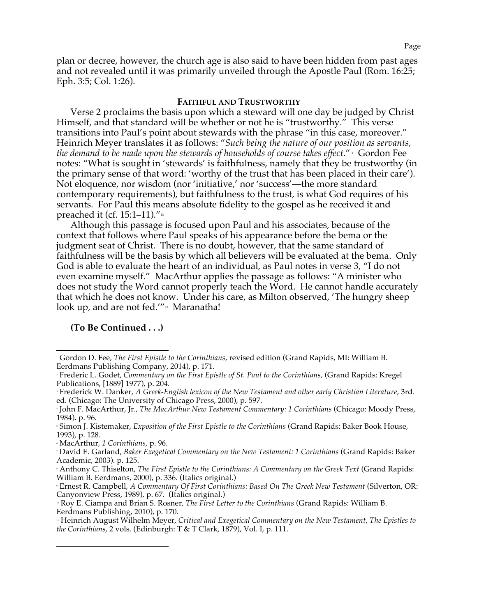plan or decree, however, the church age is also said to have been hidden from past ages and not revealed until it was primarily unveiled through the Apostle Paul (Rom. 16:25; Eph. 3:5; Col. 1:26).

## **FAITHFUL AND TRUSTWORTHY**

Verse 2 proclaims the basis upon which a steward will one day be judged by Christ Himself, and that standard will be whether or not he is "trustworthy." This verse transitions into Paul's point about stewards with the phrase "in this case, moreover." Heinrich Meyer translates it as follows: "*Such being the nature of our position as servants, the demand to be made upon the stewards of households of course takes effect."* Gordon Fee notes: "What is sought in 'stewards' is faithfulness, namely that they be trustworthy (in the primary sense of that word: 'worthy of the trust that has been placed in their care'). Not eloquence, nor wisdom (nor 'initiative,' nor 'success'—the more standard contemporary requirements), but faithfulness to the trust, is what God requires of his servants. For Paul this means absolute fidelity to the gospel as he received it and preached it (cf. 15:1–11). $v_{12}$ 

Although this passage is focused upon Paul and his associates, because of the context that follows where Paul speaks of his appearance before the bema or the judgment seat of Christ. There is no doubt, however, that the same standard of faithfulness will be the basis by which all believers will be evaluated at the bema. Only God is able to evaluate the heart of an individual, as Paul notes in verse 3, "I do not even examine myself." MacArthur applies the passage as follows: "A minister who does not study the Word cannot properly teach the Word. He cannot handle accurately that which he does not know. Under his care, as Milton observed, 'The hungry sheep look up, and are not fed."<sup>13</sup> Maranatha!

## **(To Be Continued . . .)**

 $\overline{a}$ 

 <sup>1</sup> Gordon D. Fee, *The First Epistle to the Corinthians*, revised edition (Grand Rapids, MI: William B. Eerdmans Publishing Company, 2014), p. 171.

<sup>2</sup> Frederic L. Godet, *Commentary on the First Epistle of St. Paul to the Corinthians*, (Grand Rapids: Kregel Publications, [1889] 1977), p. 204.

<sup>3</sup> Frederick W. Danker, *A Greek-English lexicon of the New Testament and other early Christian Literature*, 3rd. ed. (Chicago: The University of Chicago Press, 2000), p. 597.

<sup>4</sup> John F. MacArthur, Jr., *The MacArthur New Testament Commentary: 1 Corinthians* (Chicago: Moody Press, 1984). p. 96.

<sup>5</sup> Simon J. Kistemaker, *Exposition of the First Epistle to the Corinthians* (Grand Rapids: Baker Book House, 1993), p. 128.

<sup>6</sup> MacArthur, *1 Corinthians*, p. 96.

<sup>7</sup> David E. Garland, *Baker Exegetical Commentary on the New Testament: 1 Corinthians* (Grand Rapids: Baker Academic, 2003). p. 125.

<sup>8</sup> Anthony C. Thiselton, *The First Epistle to the Corinthians: A Commentary on the Greek Text* (Grand Rapids: William B. Eerdmans, 2000), p. 336. (Italics original.)

<sup>9</sup> Ernest R. Campbell, *A Commentary Of First Corinthians: Based On The Greek New Testament* (Silverton, OR: Canyonview Press, 1989), p. 67. (Italics original.)

<sup>10</sup> Roy E. Ciampa and Brian S. Rosner, *The First Letter to the Corinthians* (Grand Rapids: William B. Eerdmans Publishing, 2010), p. 170.

<sup>11</sup> Heinrich August Wilhelm Meyer, *Critical and Exegetical Commentary on the New Testament, The Epistles to the Corinthians*, 2 vols. (Edinburgh: T & T Clark, 1879), Vol. I, p. 111.